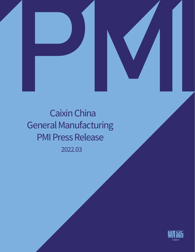



2022.03 Caixin China General Manufacturing PMI Press Release

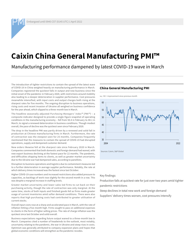# **Caixin China General Manufacturing PMI™**

## Manufacturing performance dampened by latest COVID-19 wave in March

The introduction of tighter restrictions to contain the spread of the latest wave of COVID-19 in China weighed heavily on manufacturing performance in March. Companies registered the quickest falls in output and new business since the initial onset of the pandemic in February 2020, with restrictions around mobility also leading to a steeper deterioration in supplier performance. Cost pressures meanwhile intensified, with input costs and output charges both rising at the sharpest rates for five months. The ongoing disruption to business operations, rising costs and recent invasion of Ukraine all weighed on business confidence for the year ahead, which slipped to a three-month low in March.

The headline seasonally adjusted *Purchasing Managers' Index™ (PMI™)* – a composite indicator designed to provide a single-figure snapshot of operating conditions in the manufacturing economy – fell from 50.4 in February to 48.1 in March, to signal a renewed deterioration in business conditions. Though modest overall, the pace of decline was the quickest seen since February 2020.

The drop in the headline PMI was partly driven by a renewed and solid fall in production at Chinese manufacturing firms in March. Furthermore, the rate of contraction was the steepest seen for 25 months. Companies frequently mentioned that the measures to contain the spread of COVID-19 had disrupted operations, supply and dampened customer demand.

New orders likewise fell at the sharpest rate since February 2020 in March. Companies commented that both domestic and foreign demand had waned, with new export business declining at the fastest pace for 22 months. The pandemic, and difficulties shipping items to clients, as well as greater market uncertainty due to the Ukraine war had dampened sales, according to panellists.

Disruption to business operations and logistics due to containment measures led to a further deterioration in average supplier performance. Notably, the rate at which delivery times increased was the fastest since last October.

Higher COVID-19 case numbers and increased restrictions also added pressure to capacities, as backlogs of work rose slightly for the second month in a row. This was despite a marginal increase in staffing levels.

Greater market uncertainty and lower sales led firms to cut back on their purchasing activity, though the rate of contraction was only marginal. At the same time, stocks of both inputs and finished goods fell as firms made greater usage of current inventories amid softer demand conditions. There were also reports that high purchasing costs had contributed to greater utilisation of current stocks.

Overall input costs rose at a sharp and accelerated pace in March, with the rate of inflation hitting a five-month high. Firms sought to pass on additional expenses to clients in the form of higher selling prices. The rate of charge inflation was the quickest since last October and solid overall.

Business expectations regarding future output waned to a three-month low in March. Companies cited a number of headwinds to the outlook, most notably, uncertainty relating to the pandemic, the war in Ukraine and steep rises in costs. Optimism was generally attributed to company expansion plans and hopes that global economic conditions will strengthen as the pandemic recedes.

#### **China General Manufacturing PMI**



Key findings:

Production falls at quickest rate for just over two years amid tighter pandemic restrictions

Steep declines in total new work and foreign demand

Suppliers' delivery times worsen, cost pressures intensify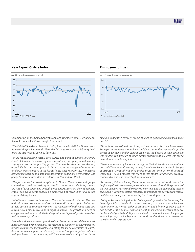#### **New Export Orders Index**



#### **Employment Index**



Commenting on the China General Manufacturing PMI™ data, Dr. Wang Zhe, Senior Economist at Caixin Insight Group said:

*"The Caixin China General Manufacturing PMI came in at 48.1 in March, down from 50.4 the previous month. The index fell to its lowest since February 2020 amid the new wave of Covid-19 flare-ups.*

*"In the manufacturing sector, both supply and demand shrank. In March, Covid-19 flared up in several regions across China, disrupting manufacturing supply chains and impacting production. Market demand weakened, especially for consumer goods. In March, both the gauges of output and total new orders came in at the lowest levels since February 2020. Overseas demand fell sharply, and global transportation conditions deteriorated. The gauge for new export orders hit its lowest in 22 months in March.*

*"The job market improved marginally in March. The employment gauge climbed into positive territory for the first time since July 2021, though the rate of expansion was limited. Some enterprises said they added new employees, while some reported a suspension of recruitment due to the impact of the epidemic.*

*"Inflationary pressures increased. The war between Russia and Ukraine and subsequent sanctions against the former disrupted supply chains and largely pushed up commodity prices. The measures of both input costs and output prices rose to five-month highs in March. The growth in prices of energy and metals was relatively steep, with the high cost partly passed on to downstream producers.*

*"Manufacturing enterprises' quantity of purchases decreased, deliveries took longer. Affected by the epidemic, the measure of suppliers' delivery times fell further in contractionary territory, indicating longer delivery times in March. Due to the weak supply and demand, manufacturing enterprises reduced their purchases of raw materials, with the measure of quantity of purchases* 

*falling into negative territory. Stocks of finished goods and purchased items also fell.*

*"Manufacturers still held on to a positive outlook for their businesses. Surveyed entrepreneurs remained confident that authorities would get the domestic epidemic under control. However, the degree of their optimism was limited. The measure of future output expectations in March was over 2 points lower than its long-term average.*

*"Overall, impacted by factors including the Covid-19 outbreaks in multiple parts of China, manufacturing activity largely weakened in March. Supply contracted. Demand was also under pressure, and external demand worsened. The job market was more or less stable. Inflationary pressure continued to rise. And market optimism weakened.*

*"At present, China is facing the most severe wave of outbreaks since the beginning of 2020. Meanwhile, uncertainty increased abroad. The prospect of the war between Russia and Ukraine is uncertain, and the commodity market convulsed. A variety of factors resonate, aggravating the downward pressure on China's economy and underscoring the risk of stagflation.* 

*"Policymakers are facing double challenges of "precision" — improving the level of precision of epidemic control measures, to strike a balance between maintaining the normal order of production and life and guarding safety and health of the people; ensuring fiscal policy and monetary policy are implemented precisely. Policymakers should care about vulnerable groups, enhancing supports for key industries and small and micro businesses, to stabilize market expectations."*